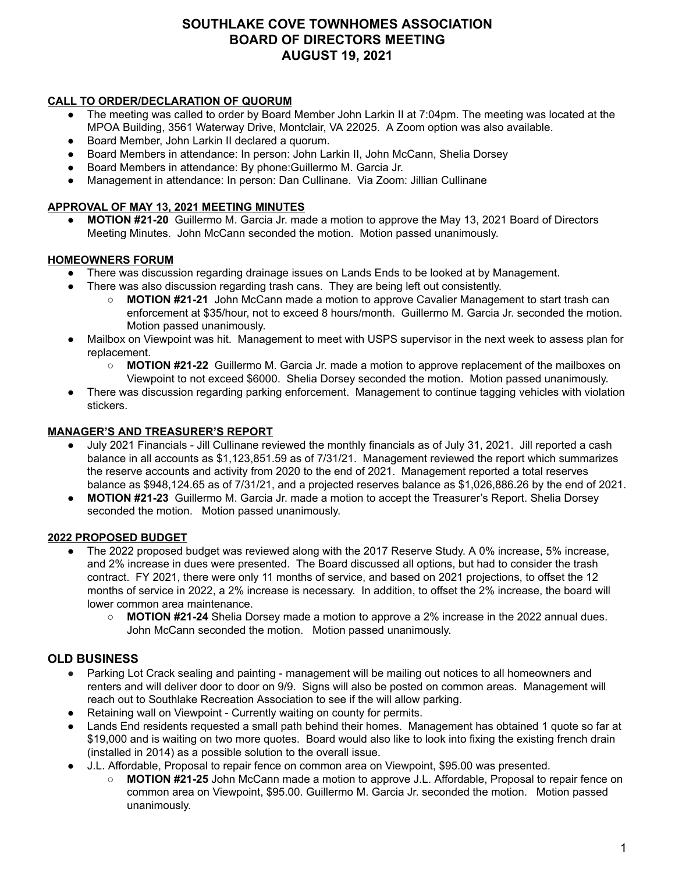# **SOUTHLAKE COVE TOWNHOMES ASSOCIATION BOARD OF DIRECTORS MEETING AUGUST 19, 2021**

### **CALL TO ORDER/DECLARATION OF QUORUM**

- The meeting was called to order by Board Member John Larkin II at 7:04pm. The meeting was located at the MPOA Building, 3561 Waterway Drive, Montclair, VA 22025. A Zoom option was also available.
- Board Member, John Larkin II declared a quorum.
- Board Members in attendance: In person: John Larkin II, John McCann, Shelia Dorsev
- Board Members in attendance: By phone:Guillermo M. Garcia Jr.
- Management in attendance: In person: Dan Cullinane. Via Zoom: Jillian Cullinane

### **APPROVAL OF MAY 13, 2021 MEETING MINUTES**

**● MOTION #21-20** Guillermo M. Garcia Jr. made a motion to approve the May 13, 2021 Board of Directors Meeting Minutes. John McCann seconded the motion. Motion passed unanimously.

### **HOMEOWNERS FORUM**

- There was discussion regarding drainage issues on Lands Ends to be looked at by Management.
- There was also discussion regarding trash cans. They are being left out consistently.
	- **MOTION #21-21** John McCann made a motion to approve Cavalier Management to start trash can enforcement at \$35/hour, not to exceed 8 hours/month. Guillermo M. Garcia Jr. seconded the motion. Motion passed unanimously.
- Mailbox on Viewpoint was hit. Management to meet with USPS supervisor in the next week to assess plan for replacement.
	- **MOTION #21-22** Guillermo M. Garcia Jr. made a motion to approve replacement of the mailboxes on Viewpoint to not exceed \$6000. Shelia Dorsey seconded the motion. Motion passed unanimously.
- There was discussion regarding parking enforcement. Management to continue tagging vehicles with violation stickers.

### **MANAGER'S AND TREASURER'S REPORT**

- July 2021 Financials Jill Cullinane reviewed the monthly financials as of July 31, 2021. Jill reported a cash balance in all accounts as \$1,123,851.59 as of 7/31/21. Management reviewed the report which summarizes the reserve accounts and activity from 2020 to the end of 2021. Management reported a total reserves balance as \$948,124.65 as of 7/31/21, and a projected reserves balance as \$1,026,886.26 by the end of 2021.
- **MOTION #21-23** Guillermo M. Garcia Jr. made a motion to accept the Treasurer's Report. Shelia Dorsey seconded the motion. Motion passed unanimously.

### **2022 PROPOSED BUDGET**

- The 2022 proposed budget was reviewed along with the 2017 Reserve Study. A 0% increase, 5% increase, and 2% increase in dues were presented. The Board discussed all options, but had to consider the trash contract. FY 2021, there were only 11 months of service, and based on 2021 projections, to offset the 12 months of service in 2022, a 2% increase is necessary. In addition, to offset the 2% increase, the board will lower common area maintenance.
	- **MOTION #21-24** Shelia Dorsey made a motion to approve a 2% increase in the 2022 annual dues. John McCann seconded the motion. Motion passed unanimously.

## **OLD BUSINESS**

- Parking Lot Crack sealing and painting management will be mailing out notices to all homeowners and renters and will deliver door to door on 9/9. Signs will also be posted on common areas. Management will reach out to Southlake Recreation Association to see if the will allow parking.
- Retaining wall on Viewpoint Currently waiting on county for permits.
- Lands End residents requested a small path behind their homes. Management has obtained 1 quote so far at \$19,000 and is waiting on two more quotes. Board would also like to look into fixing the existing french drain (installed in 2014) as a possible solution to the overall issue.
- J.L. Affordable, Proposal to repair fence on common area on Viewpoint, \$95.00 was presented.
	- **MOTION #21-25** John McCann made a motion to approve J.L. Affordable, Proposal to repair fence on common area on Viewpoint, \$95.00. Guillermo M. Garcia Jr. seconded the motion. Motion passed unanimously.